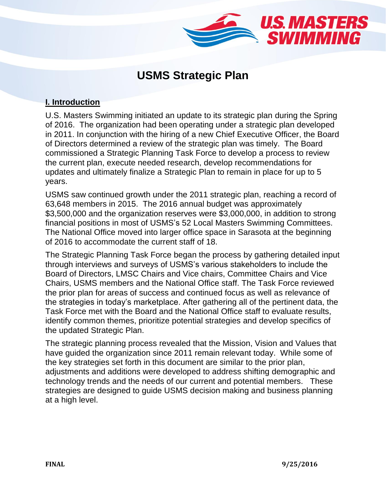

# **USMS Strategic Plan**

## **I. Introduction**

U.S. Masters Swimming initiated an update to its strategic plan during the Spring of 2016. The organization had been operating under a strategic plan developed in 2011. In conjunction with the hiring of a new Chief Executive Officer, the Board of Directors determined a review of the strategic plan was timely. The Board commissioned a Strategic Planning Task Force to develop a process to review the current plan, execute needed research, develop recommendations for updates and ultimately finalize a Strategic Plan to remain in place for up to 5 years.

USMS saw continued growth under the 2011 strategic plan, reaching a record of 63,648 members in 2015. The 2016 annual budget was approximately \$3,500,000 and the organization reserves were \$3,000,000, in addition to strong financial positions in most of USMS's 52 Local Masters Swimming Committees. The National Office moved into larger office space in Sarasota at the beginning of 2016 to accommodate the current staff of 18.

The Strategic Planning Task Force began the process by gathering detailed input through interviews and surveys of USMS's various stakeholders to include the Board of Directors, LMSC Chairs and Vice chairs, Committee Chairs and Vice Chairs, USMS members and the National Office staff. The Task Force reviewed the prior plan for areas of success and continued focus as well as relevance of the strategies in today's marketplace. After gathering all of the pertinent data, the Task Force met with the Board and the National Office staff to evaluate results, identify common themes, prioritize potential strategies and develop specifics of the updated Strategic Plan.

The strategic planning process revealed that the Mission, Vision and Values that have guided the organization since 2011 remain relevant today. While some of the key strategies set forth in this document are similar to the prior plan, adjustments and additions were developed to address shifting demographic and technology trends and the needs of our current and potential members. These strategies are designed to guide USMS decision making and business planning at a high level.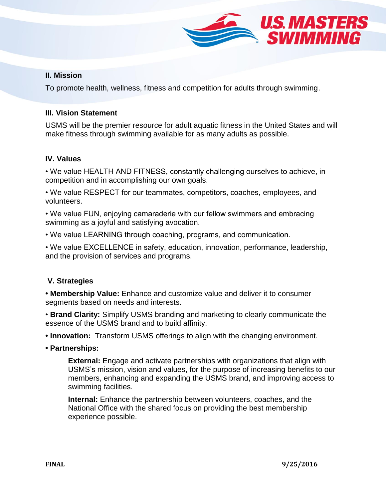

#### **II. Mission**

To promote health, wellness, fitness and competition for adults through swimming.

### **III. Vision Statement**

USMS will be the premier resource for adult aquatic fitness in the United States and will make fitness through swimming available for as many adults as possible.

### **IV. Values**

• We value HEALTH AND FITNESS, constantly challenging ourselves to achieve, in competition and in accomplishing our own goals.

• We value RESPECT for our teammates, competitors, coaches, employees, and volunteers.

• We value FUN, enjoying camaraderie with our fellow swimmers and embracing swimming as a joyful and satisfying avocation.

• We value LEARNING through coaching, programs, and communication.

• We value EXCELLENCE in safety, education, innovation, performance, leadership, and the provision of services and programs.

### **V. Strategies**

**• Membership Value:** Enhance and customize value and deliver it to consumer segments based on needs and interests.

• **Brand Clarity:** Simplify USMS branding and marketing to clearly communicate the essence of the USMS brand and to build affinity.

**• Innovation:** Transform USMS offerings to align with the changing environment.

**• Partnerships:** 

**External:** Engage and activate partnerships with organizations that align with USMS's mission, vision and values, for the purpose of increasing benefits to our members, enhancing and expanding the USMS brand, and improving access to swimming facilities.

**Internal:** Enhance the partnership between volunteers, coaches, and the National Office with the shared focus on providing the best membership experience possible.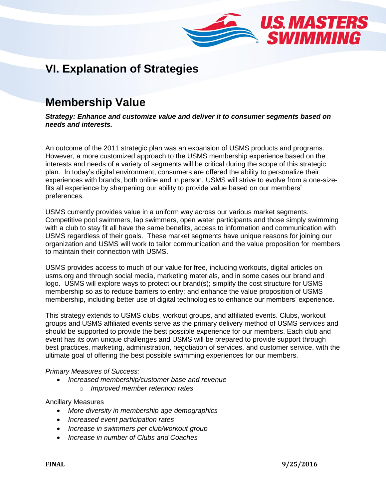

# **VI. Explanation of Strategies**

# **Membership Value**

*Strategy: Enhance and customize value and deliver it to consumer segments based on needs and interests.*

An outcome of the 2011 strategic plan was an expansion of USMS products and programs. However, a more customized approach to the USMS membership experience based on the interests and needs of a variety of segments will be critical during the scope of this strategic plan. In today's digital environment, consumers are offered the ability to personalize their experiences with brands, both online and in person. USMS will strive to evolve from a one-sizefits all experience by sharpening our ability to provide value based on our members' preferences.

USMS currently provides value in a uniform way across our various market segments. Competitive pool swimmers, lap swimmers, open water participants and those simply swimming with a club to stay fit all have the same benefits, access to information and communication with USMS regardless of their goals. These market segments have unique reasons for joining our organization and USMS will work to tailor communication and the value proposition for members to maintain their connection with USMS.

USMS provides access to much of our value for free, including workouts, digital articles on usms.org and through social media, marketing materials, and in some cases our brand and logo. USMS will explore ways to protect our brand(s); simplify the cost structure for USMS membership so as to reduce barriers to entry; and enhance the value proposition of USMS membership, including better use of digital technologies to enhance our members' experience.

This strategy extends to USMS clubs, workout groups, and affiliated events. Clubs, workout groups and USMS affiliated events serve as the primary delivery method of USMS services and should be supported to provide the best possible experience for our members. Each club and event has its own unique challenges and USMS will be prepared to provide support through best practices, marketing, administration, negotiation of services, and customer service, with the ultimate goal of offering the best possible swimming experiences for our members.

#### *Primary Measures of Success:*

- *Increased membership/customer base and revenue*
	- o *Improved member retention rates*

Ancillary Measures

- *More diversity in membership age demographics*
- *Increased event participation rates*
- *Increase in swimmers per club/workout group*
- *Increase in number of Clubs and Coaches*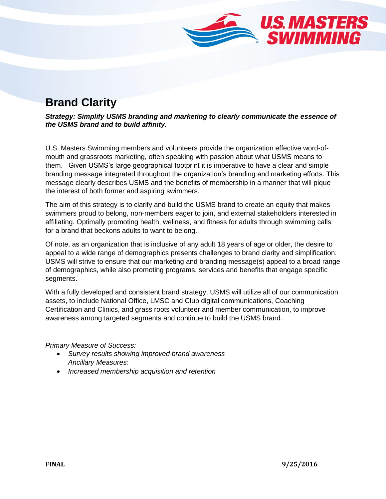

# **Brand Clarity**

*Strategy: Simplify USMS branding and marketing to clearly communicate the essence of the USMS brand and to build affinity.*

U.S. Masters Swimming members and volunteers provide the organization effective word-ofmouth and grassroots marketing, often speaking with passion about what USMS means to them. Given USMS's large geographical footprint it is imperative to have a clear and simple branding message integrated throughout the organization's branding and marketing efforts. This message clearly describes USMS and the benefits of membership in a manner that will pique the interest of both former and aspiring swimmers.

The aim of this strategy is to clarify and build the USMS brand to create an equity that makes swimmers proud to belong, non-members eager to join, and external stakeholders interested in affiliating. Optimally promoting health, wellness, and fitness for adults through swimming calls for a brand that beckons adults to want to belong.

Of note, as an organization that is inclusive of any adult 18 years of age or older, the desire to appeal to a wide range of demographics presents challenges to brand clarity and simplification. USMS will strive to ensure that our marketing and branding message(s) appeal to a broad range of demographics, while also promoting programs, services and benefits that engage specific segments.

With a fully developed and consistent brand strategy, USMS will utilize all of our communication assets, to include National Office, LMSC and Club digital communications, Coaching Certification and Clinics, and grass roots volunteer and member communication, to improve awareness among targeted segments and continue to build the USMS brand.

*Primary Measure of Success:* 

- *Survey results showing improved brand awareness Ancillary Measures:*
- *Increased membership acquisition and retention*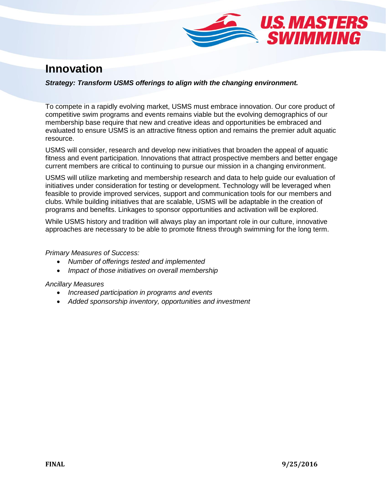

## **Innovation**

#### *Strategy: Transform USMS offerings to align with the changing environment.*

To compete in a rapidly evolving market, USMS must embrace innovation. Our core product of competitive swim programs and events remains viable but the evolving demographics of our membership base require that new and creative ideas and opportunities be embraced and evaluated to ensure USMS is an attractive fitness option and remains the premier adult aquatic resource.

USMS will consider, research and develop new initiatives that broaden the appeal of aquatic fitness and event participation. Innovations that attract prospective members and better engage current members are critical to continuing to pursue our mission in a changing environment.

USMS will utilize marketing and membership research and data to help guide our evaluation of initiatives under consideration for testing or development. Technology will be leveraged when feasible to provide improved services, support and communication tools for our members and clubs. While building initiatives that are scalable, USMS will be adaptable in the creation of programs and benefits. Linkages to sponsor opportunities and activation will be explored.

While USMS history and tradition will always play an important role in our culture, innovative approaches are necessary to be able to promote fitness through swimming for the long term.

*Primary Measures of Success:* 

- *Number of offerings tested and implemented*
- *Impact of those initiatives on overall membership*

#### *Ancillary Measures*

- *Increased participation in programs and events*
- *Added sponsorship inventory, opportunities and investment*